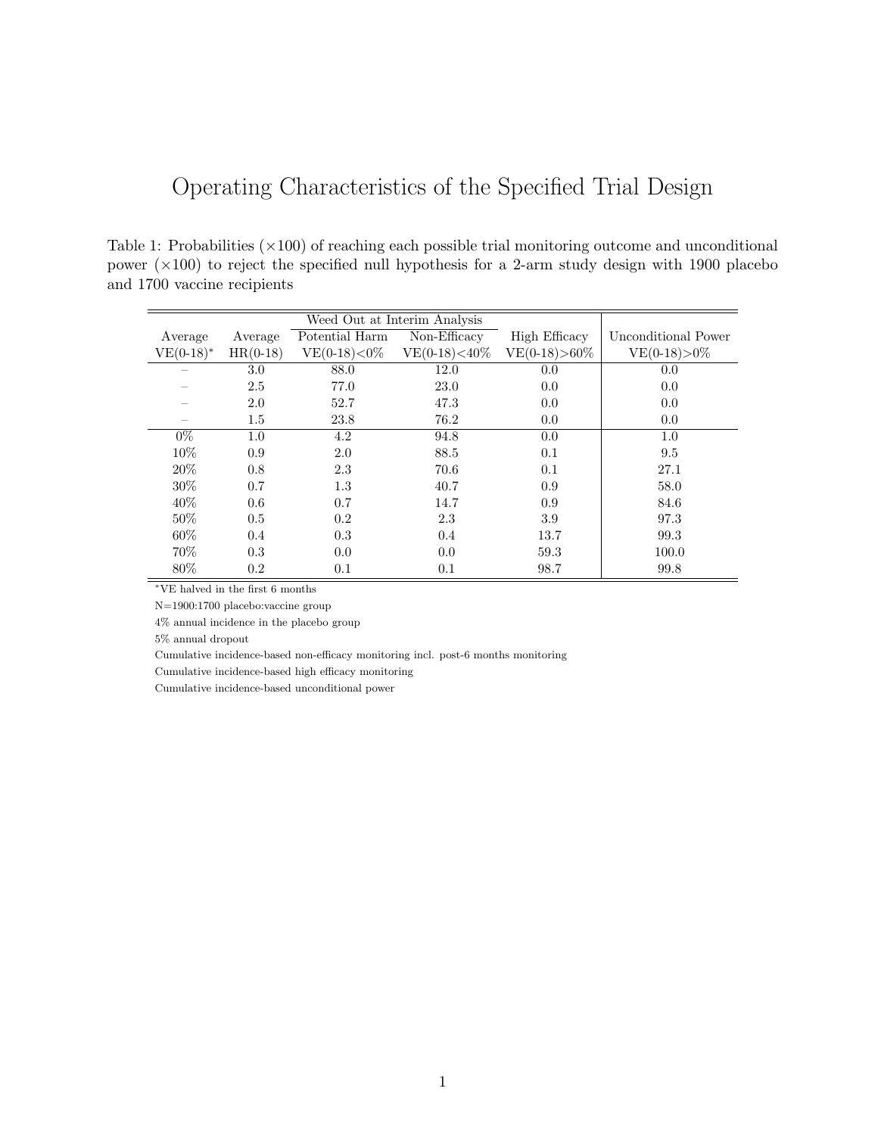## Operating Characteristics of the Specified Trial Design

Table 1: Probabilities  $(\times 100)$  of reaching each possible trial monitoring outcome and unconditional power  $(\times 100)$  to reject the specified null hypothesis for a 2-arm study design with 1900 placebo and 1700 vaccine recipients

| Average      | Average    | Potential Harm   | $\overline{\text{Non-Efficacy}}$ | High Efficacy     | Unconditional Power |
|--------------|------------|------------------|----------------------------------|-------------------|---------------------|
| $VE(0-18)^*$ | $HR(0-18)$ | $VE(0-18) < 0\%$ | $VE(0-18) < 40\%$                | $VE(0-18) > 60\%$ | $VE(0-18) > 0\%$    |
|              | 3.0        | 88.0             | 12.0                             | 0.0               | 0.0                 |
|              | 2.5        | 77.0             | 23.0                             | 0.0               | 0.0                 |
|              | 2.0        | 52.7             | 47.3                             | 0.0               | 0.0                 |
|              | $1.5\,$    | 23.8             | 76.2                             | 0.0               | 0.0                 |
| $0\%$        | 1.0        | 4.2              | 94.8                             | 0.0               | 1.0                 |
| 10%          | 0.9        | 2.0              | 88.5                             | 0.1               | 9.5                 |
| 20%          | 0.8        | 2.3              | 70.6                             | 0.1               | 27.1                |
| 30%          | 0.7        | $1.3\,$          | 40.7                             | 0.9               | 58.0                |
| 40%          | 0.6        | 0.7              | 14.7                             | 0.9               | 84.6                |
| 50%          | 0.5        | 0.2              | 2.3                              | 3.9               | 97.3                |
| 60%          | 0.4        | 0.3              | 0.4                              | 13.7              | 99.3                |
| 70%          | 0.3        | 0.0              | 0.0                              | 59.3              | 100.0               |
| 80%          | 0.2        | 0.1              | 0.1                              | 98.7              | 99.8                |

 $^{\ast}\mathrm{VE}$  halved in the first 6 months

N=1900:1700 placebo:vaccine group

4% annual incidence in the placebo group

5% annual dropout

Cumulative incidence-based non-efficacy monitoring incl. post-6 months monitoring

Cumulative incidence-based high efficacy monitoring

Cumulative incidence-based unconditional power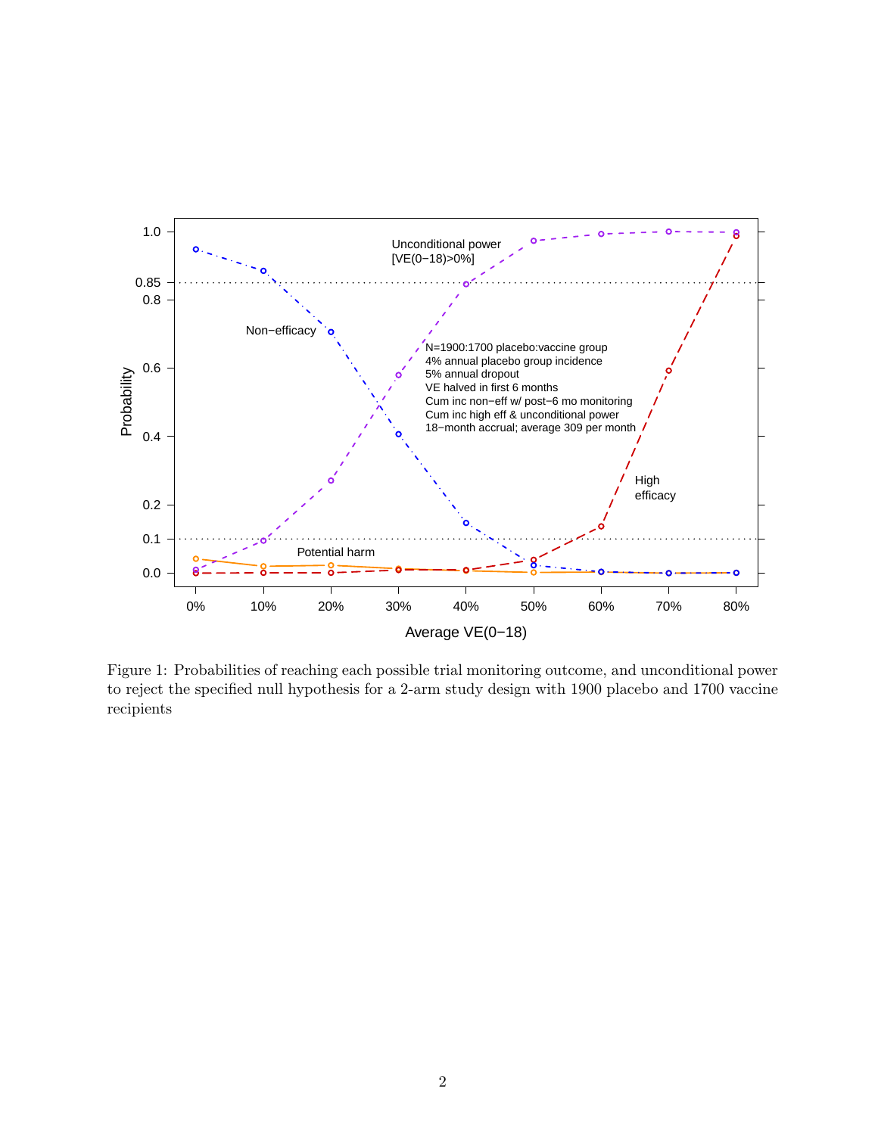

Figure 1: Probabilities of reaching each possible trial monitoring outcome, and unconditional power to reject the specified null hypothesis for a 2-arm study design with 1900 placebo and 1700 vaccine recipients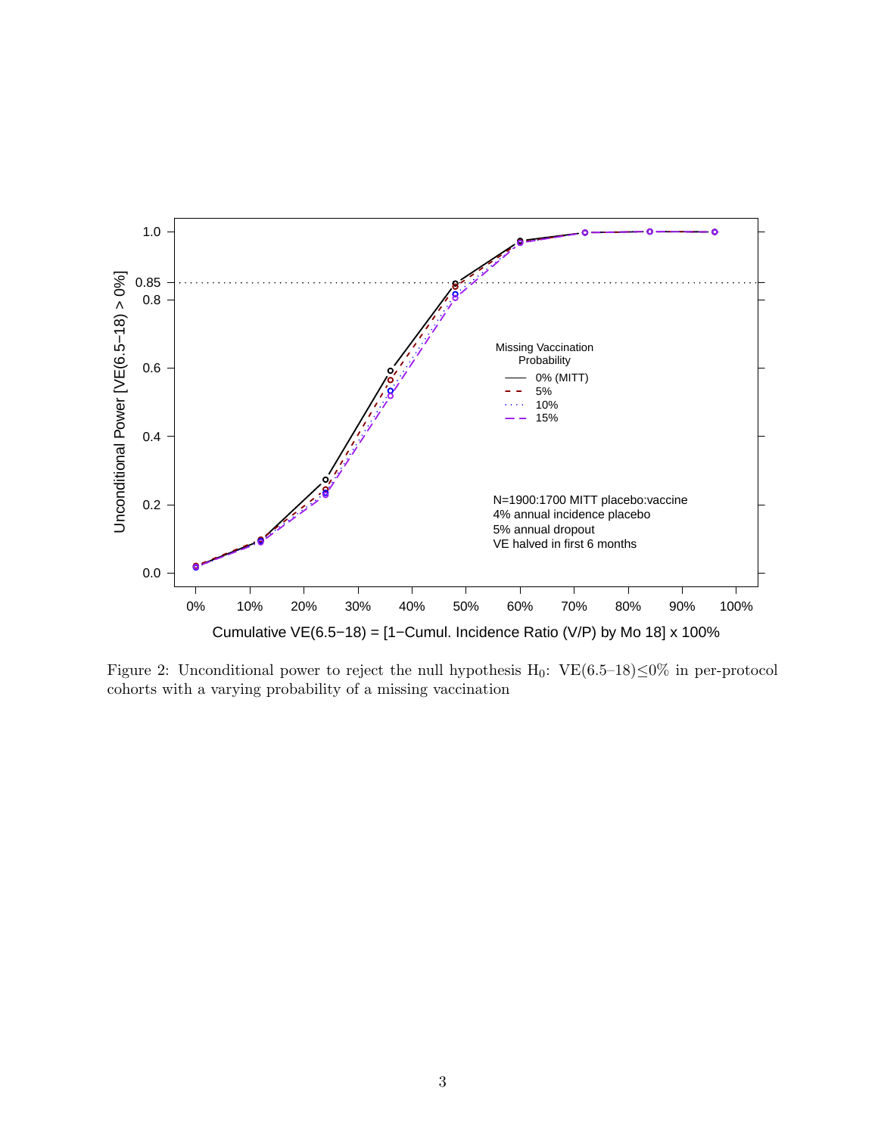

Figure 2: Unconditional power to reject the null hypothesis H<sub>0</sub>: VE $(6.5-18) \le 0\%$  in per-protocol cohorts with a varying probability of a missing vaccination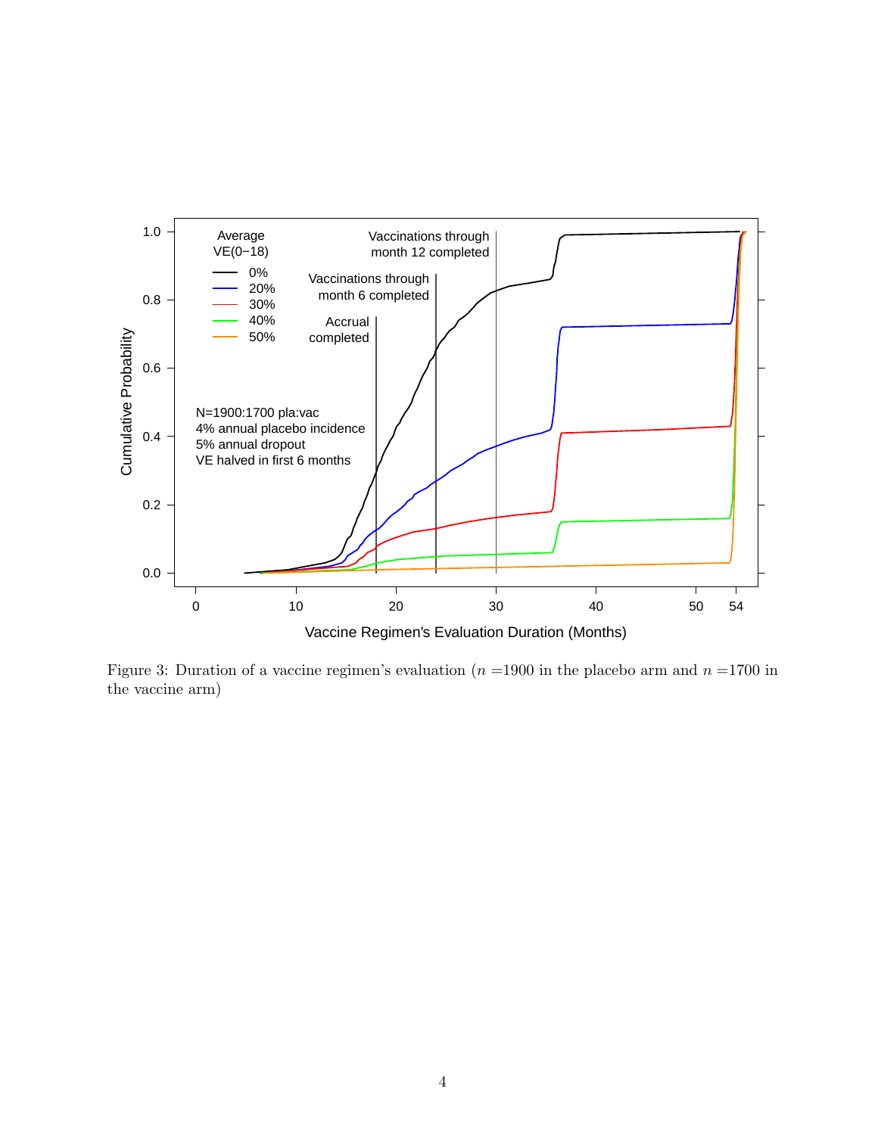

Figure 3: Duration of a vaccine regimen's evaluation ( $n = 1900$  in the placebo arm and  $n = 1700$  in the vaccine arm)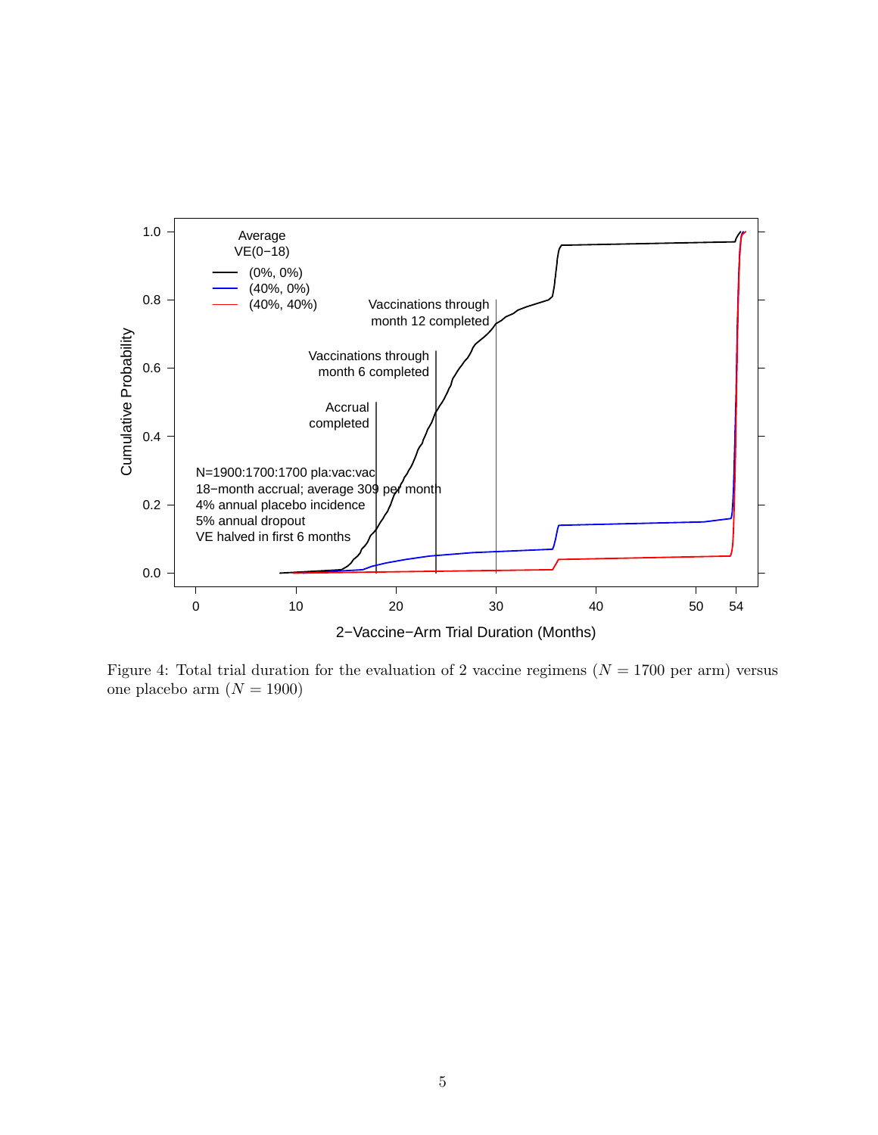

Figure 4: Total trial duration for the evaluation of 2 vaccine regimens ( $N = 1700$  per arm) versus one placebo arm  $(N = 1900)$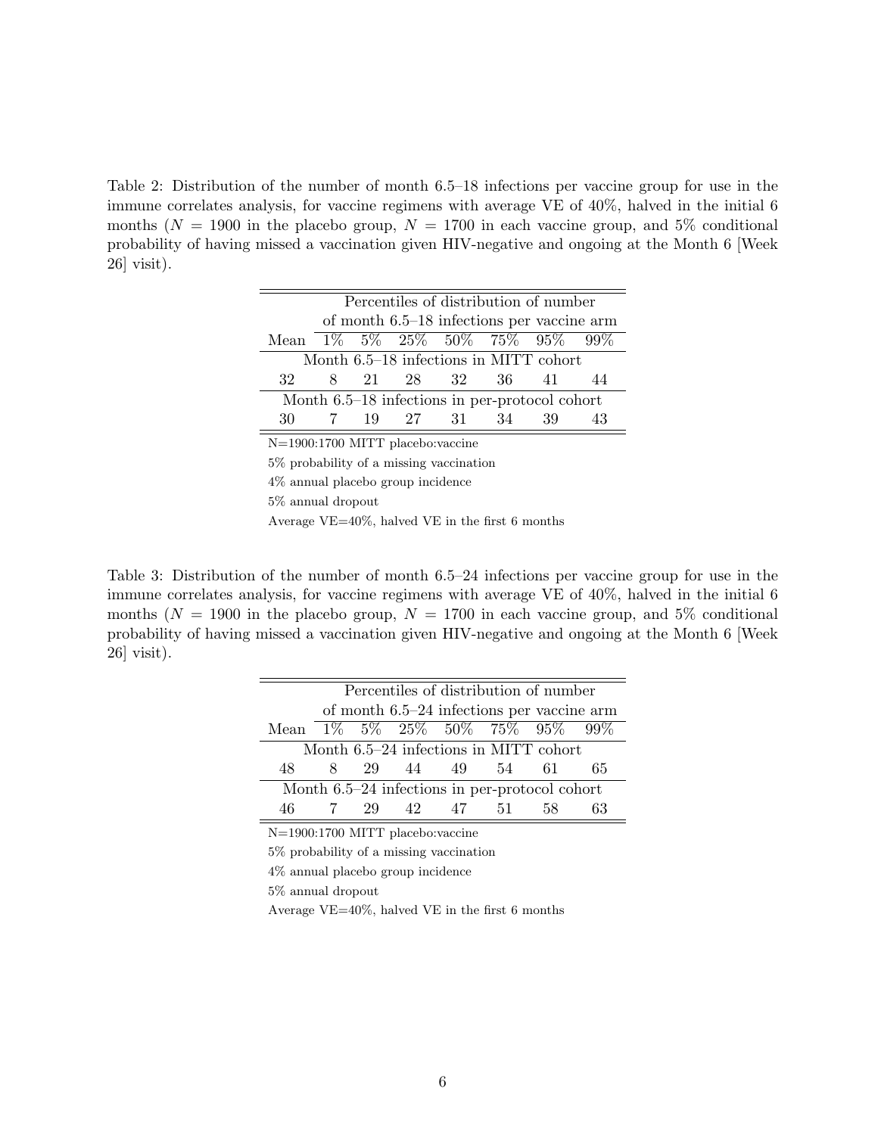Table 2: Distribution of the number of month 6.5–18 infections per vaccine group for use in the immune correlates analysis, for vaccine regimens with average VE of 40%, halved in the initial 6 months ( $N = 1900$  in the placebo group,  $N = 1700$  in each vaccine group, and 5% conditional probability of having missed a vaccination given HIV-negative and ongoing at the Month 6 [Week 26] visit).

| Percentiles of distribution of number    |    |  |  |          |       |                                                |    |
|------------------------------------------|----|--|--|----------|-------|------------------------------------------------|----|
|                                          |    |  |  |          |       | of month $6.5-18$ infections per vaccine arm   |    |
| Mean 1% 5% 25% 50% 75% 95% 99%           |    |  |  |          |       |                                                |    |
| Month 6.5–18 infections in MITT cohort   |    |  |  |          |       |                                                |    |
| 32                                       | 8. |  |  | 21 28 32 | -36 - | 41                                             | 44 |
|                                          |    |  |  |          |       | Month 6.5–18 infections in per-protocol cohort |    |
| 30                                       |    |  |  | 19 27 31 | 34    | 39                                             | 43 |
| N=1900:1700 MITT placebo: vaccine        |    |  |  |          |       |                                                |    |
| 5\% probability of a missing vaccination |    |  |  |          |       |                                                |    |
|                                          |    |  |  |          |       |                                                |    |

4% annual placebo group incidence 5% annual dropout Average VE=40%, halved VE in the first 6 months

Table 3: Distribution of the number of month 6.5–24 infections per vaccine group for use in the immune correlates analysis, for vaccine regimens with average VE of 40%, halved in the initial 6 months ( $N = 1900$  in the placebo group,  $N = 1700$  in each vaccine group, and 5% conditional probability of having missed a vaccination given HIV-negative and ongoing at the Month 6 [Week 26] visit).

| Percentiles of distribution of number            |                                        |    |       |                                |        |     |    |  |
|--------------------------------------------------|----------------------------------------|----|-------|--------------------------------|--------|-----|----|--|
| of month 6.5–24 infections per vaccine arm       |                                        |    |       |                                |        |     |    |  |
|                                                  |                                        |    |       | Mean 1% 5% 25% 50% 75% 95% 99% |        |     |    |  |
|                                                  | Month 6.5–24 infections in MITT cohort |    |       |                                |        |     |    |  |
| 48                                               | 8.                                     |    | 29 44 | 49                             | 54     | 61  | 65 |  |
| Month $6.5-24$ infections in per-protocol cohort |                                        |    |       |                                |        |     |    |  |
| 46                                               |                                        | 29 | 42    | 47                             | - 51 - | 58. | 63 |  |

N=1900:1700 MITT placebo:vaccine

5% probability of a missing vaccination

4% annual placebo group incidence

5% annual dropout

Average VE=40%, halved VE in the first 6 months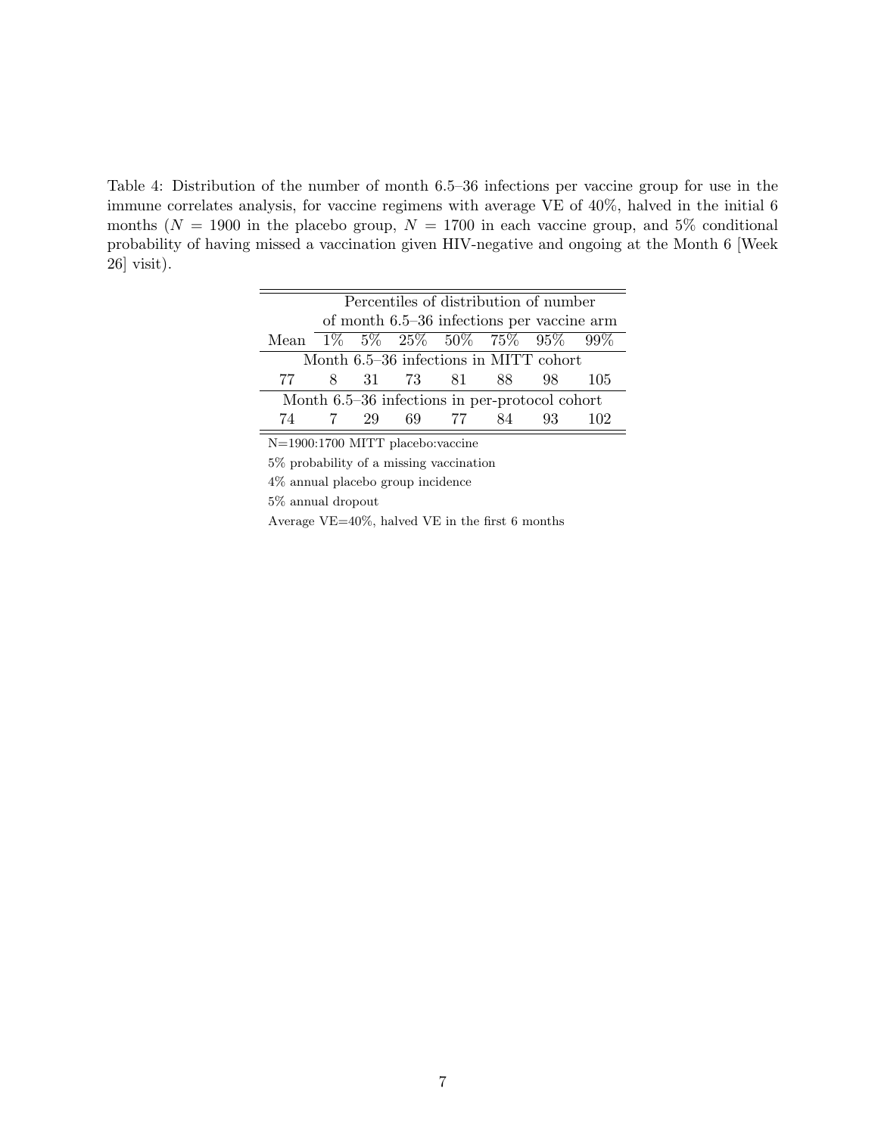Table 4: Distribution of the number of month 6.5–36 infections per vaccine group for use in the immune correlates analysis, for vaccine regimens with average VE of 40%, halved in the initial 6 months ( $N = 1900$  in the placebo group,  $N = 1700$  in each vaccine group, and 5% conditional probability of having missed a vaccination given HIV-negative and ongoing at the Month 6 [Week 26] visit).

| Percentiles of distribution of number          |                                        |    |          |       |     |     |     |  |
|------------------------------------------------|----------------------------------------|----|----------|-------|-----|-----|-----|--|
| of month 6.5–36 infections per vaccine arm     |                                        |    |          |       |     |     |     |  |
| Mean 1% 5% 25% 50% 75% 95% 99%                 |                                        |    |          |       |     |     |     |  |
|                                                | Month 6.5-36 infections in MITT cohort |    |          |       |     |     |     |  |
| 77 -                                           | 8.                                     |    | 31 73 81 |       | 88. | 98. | 105 |  |
| Month 6.5–36 infections in per-protocol cohort |                                        |    |          |       |     |     |     |  |
| 74                                             |                                        | 29 |          | 69 77 | 84  | 93. |     |  |

N=1900:1700 MITT placebo:vaccine

5% probability of a missing vaccination

4% annual placebo group incidence

5% annual dropout

Average VE=40%, halved VE in the first 6 months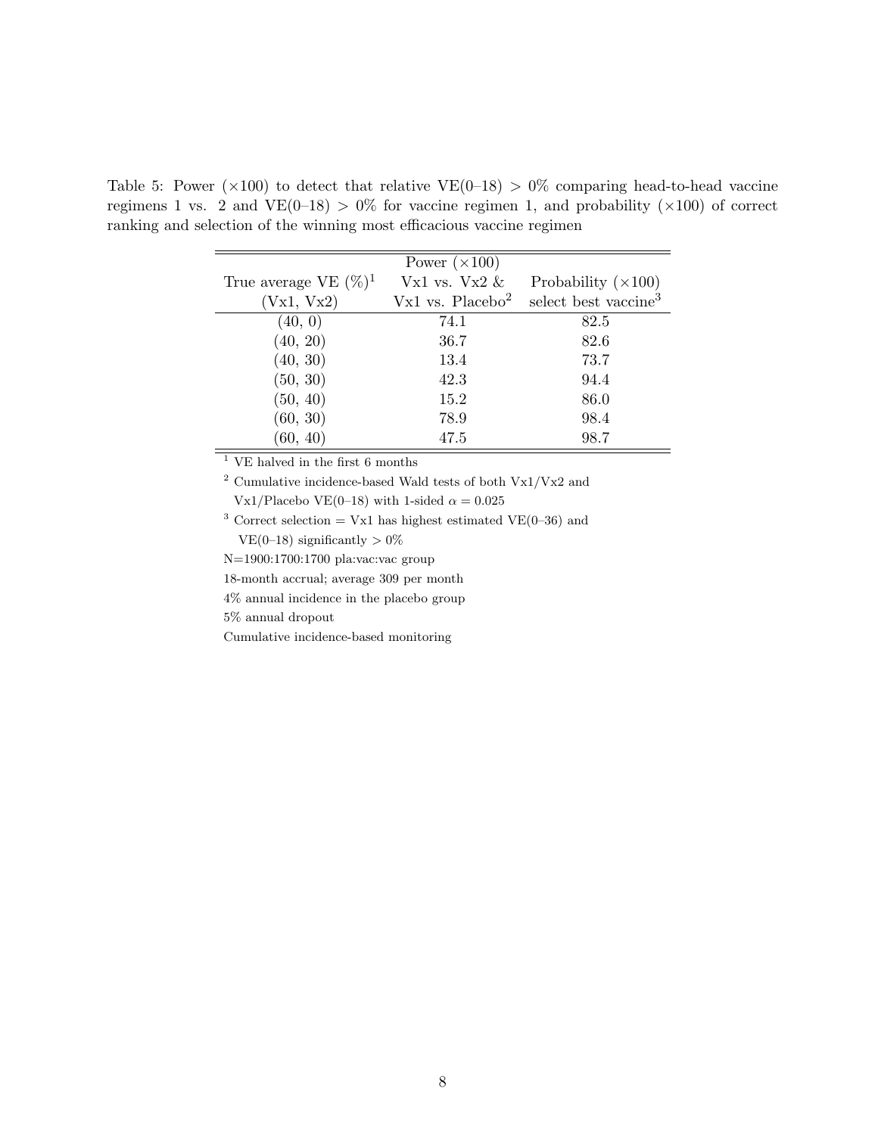|                          | Power $(\times 100)$ |                                  |
|--------------------------|----------------------|----------------------------------|
| True average VE $(\%)^1$ | Vx1 vs. Vx2 $\&$     | Probability $(\times 100)$       |
| (Vx1, Vx2)               | Vx1 vs. $Placebo2$   | select best vaccine <sup>3</sup> |
| (40, 0)                  | 74.1                 | 82.5                             |
| (40, 20)                 | 36.7                 | 82.6                             |
| (40, 30)                 | 13.4                 | 73.7                             |
| (50, 30)                 | 42.3                 | 94.4                             |
| (50, 40)                 | 15.2                 | 86.0                             |
| (60, 30)                 | 78.9                 | 98.4                             |
| (60, 40)                 | 47.5                 | 98.7                             |

Table 5: Power ( $\times$ 100) to detect that relative VE(0–18) > 0% comparing head-to-head vaccine regimens 1 vs. 2 and  $VE(0-18) > 0\%$  for vaccine regimen 1, and probability ( $\times 100$ ) of correct ranking and selection of the winning most efficacious vaccine regimen

 $\overline{\hbox{~\vphantom{a}~}}$   $\overline{\hbox{~\vphantom{a}~}}$  VE halved in the first 6 months

 $^2$  Cumulative incidence-based Wald tests of both Vx1/Vx2 and  $\,$ Vx1/Placebo VE(0–18) with 1-sided  $\alpha = 0.025$ 

<sup>3</sup> Correct selection = Vx1 has highest estimated VE(0–36) and VE(0–18) significantly  $> 0\%$ 

N=1900:1700:1700 pla:vac:vac group

18-month accrual; average 309 per month

4% annual incidence in the placebo group

5% annual dropout

Cumulative incidence-based monitoring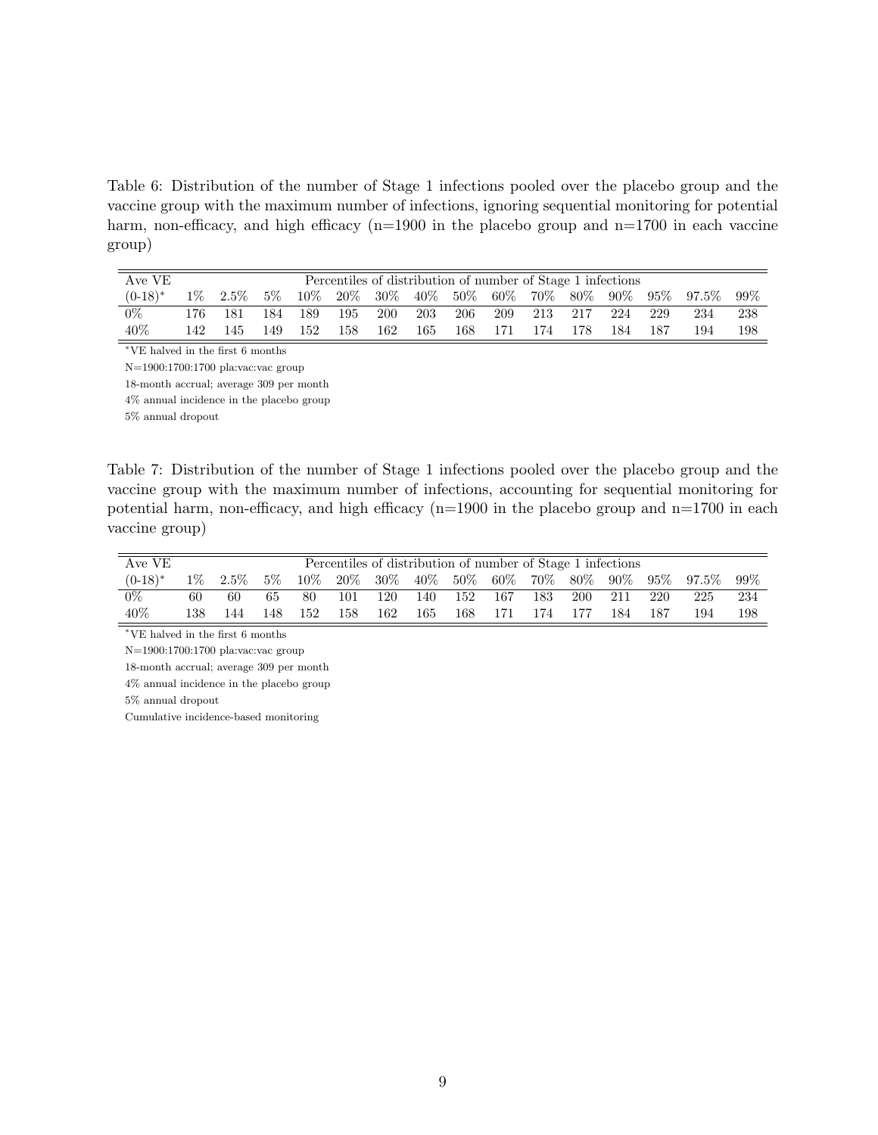Table 6: Distribution of the number of Stage 1 infections pooled over the placebo group and the vaccine group with the maximum number of infections, ignoring sequential monitoring for potential harm, non-efficacy, and high efficacy  $(n=1900$  in the placebo group and  $n=1700$  in each vaccine group)

| AveVE      | Percentiles of distribution of number of Stage 1 infections |         |       |     |     |            |     |     |       |     |     |     |     |                                                  |     |
|------------|-------------------------------------------------------------|---------|-------|-----|-----|------------|-----|-----|-------|-----|-----|-----|-----|--------------------------------------------------|-----|
| $(0-18)^*$ | $1\%$                                                       | $2.5\%$ | $5\%$ |     |     |            |     |     |       |     |     |     |     | $10\%$ 20% 30% 40% 50% 60% 70% 80% 90% 95% 97.5% | 99% |
| 0%         | 176.                                                        | 181     | 184   | 189 | 195 | <b>200</b> | 203 | 206 | - 209 | 213 | 217 | 224 | 229 | 234                                              | 238 |
| 40\%       | 142.                                                        | 145     | 149   | 152 | 158 | 162        | 165 | 168 | 171   | 174 | 178 | 184 | 187 | 194                                              | 198 |

<sup>∗</sup>VE halved in the first 6 months

N=1900:1700:1700 pla:vac:vac group

18-month accrual; average 309 per month

4% annual incidence in the placebo group

5% annual dropout

Table 7: Distribution of the number of Stage 1 infections pooled over the placebo group and the vaccine group with the maximum number of infections, accounting for sequential monitoring for potential harm, non-efficacy, and high efficacy  $(n=1900)$  in the placebo group and  $n=1700$  in each vaccine group)

| Ave VE           | Percentiles of distribution of number of Stage 1 infections |         |       |        |     |           |        |     |     |                |            |        |     |                 |      |
|------------------|-------------------------------------------------------------|---------|-------|--------|-----|-----------|--------|-----|-----|----------------|------------|--------|-----|-----------------|------|
| $(0-18)^*$       | $1\%$                                                       | $2.5\%$ | $5\%$ | $10\%$ |     | 20\% 30\% | $40\%$ |     |     | $50\%$ 60% 70% | $80\%$     | $90\%$ |     | $95\%$ $97.5\%$ | -99% |
| $\overline{0\%}$ | 60                                                          | 60      | 65    | 80     | 101 | 120       | 140    | 152 | 167 | 183            | <b>200</b> | 211    | 220 | 225             | 234  |
| 40%              | 138                                                         | 144     | 148   | 152    | 158 | 162       | 165    | 168 | 171 | 174            | 177        | 184    | 187 | 194             | 198  |

 $^{\ast}\mathrm{VE}$  halved in the first 6 months

N=1900:1700:1700 pla:vac:vac group

18-month accrual; average 309 per month

4% annual incidence in the placebo group

5% annual dropout

Cumulative incidence-based monitoring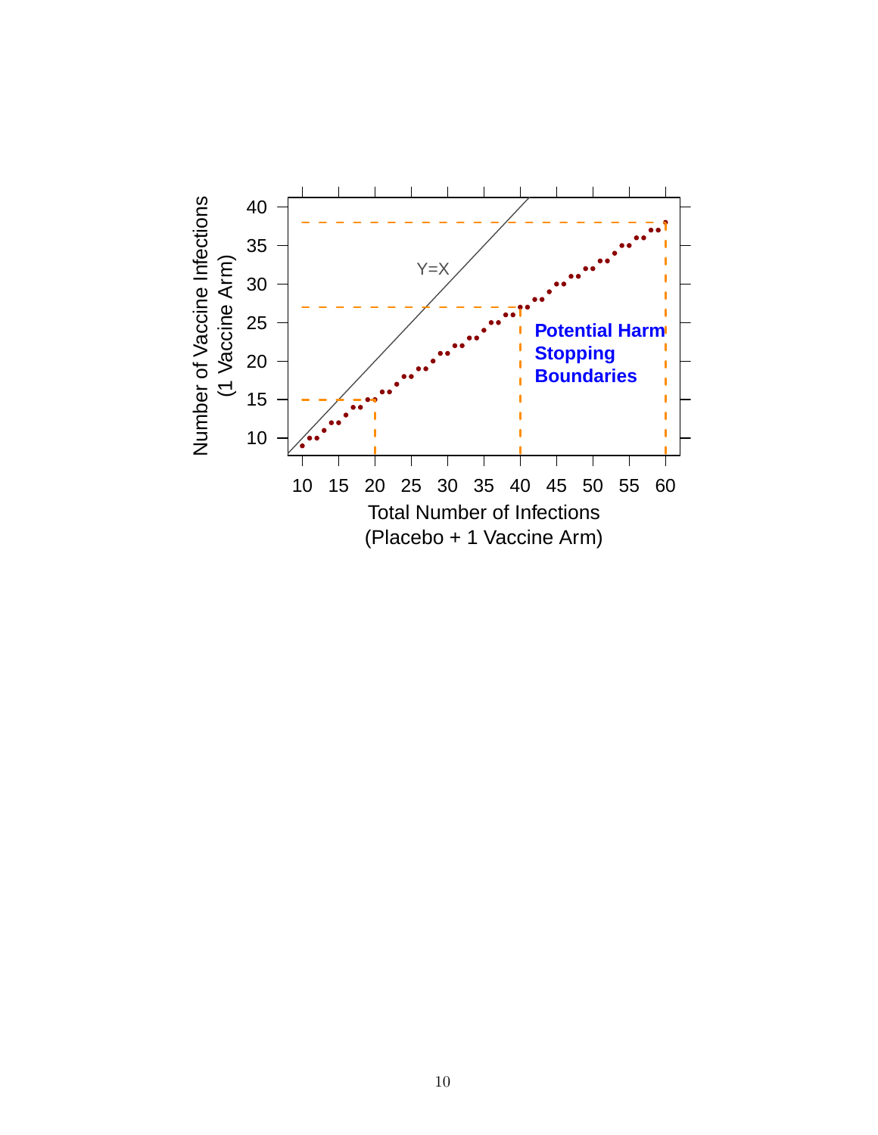